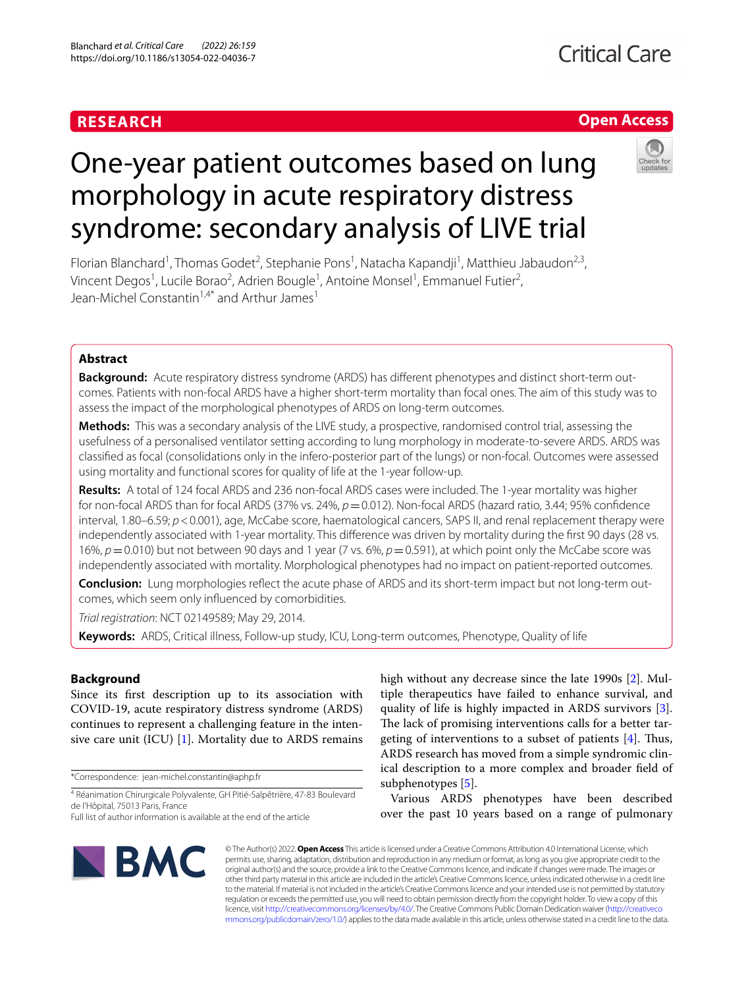### **RESEARCH**

#### **Open Access**

# One-year patient outcomes based on lung morphology in acute respiratory distress syndrome: secondary analysis of LIVE trial

Florian Blanchard<sup>1</sup>, Thomas Godet<sup>2</sup>, Stephanie Pons<sup>1</sup>, Natacha Kapandji<sup>1</sup>, Matthieu Jabaudon<sup>2,3</sup>, Vincent Degos<sup>1</sup>, Lucile Borao<sup>2</sup>, Adrien Bougle<sup>1</sup>, Antoine Monsel<sup>1</sup>, Emmanuel Futier<sup>2</sup>, Jean-Michel Constantin<sup>1,4\*</sup> and Arthur James<sup>1</sup>

#### **Abstract**

**Background:** Acute respiratory distress syndrome (ARDS) has different phenotypes and distinct short-term outcomes. Patients with non-focal ARDS have a higher short-term mortality than focal ones. The aim of this study was to assess the impact of the morphological phenotypes of ARDS on long-term outcomes.

**Methods:** This was a secondary analysis of the LIVE study, a prospective, randomised control trial, assessing the usefulness of a personalised ventilator setting according to lung morphology in moderate-to-severe ARDS. ARDS was classifed as focal (consolidations only in the infero-posterior part of the lungs) or non-focal. Outcomes were assessed using mortality and functional scores for quality of life at the 1-year follow-up.

**Results:** A total of 124 focal ARDS and 236 non-focal ARDS cases were included. The 1-year mortality was higher for non-focal ARDS than for focal ARDS (37% vs. 24%,  $p=0.012$ ). Non-focal ARDS (hazard ratio, 3.44; 95% confidence interval, 1.80–6.59;  $p < 0.001$ ), age, McCabe score, haematological cancers, SAPS II, and renal replacement therapy were independently associated with 1-year mortality. This diference was driven by mortality during the frst 90 days (28 vs. 16%, *p*=0.010) but not between 90 days and 1 year (7 vs. 6%, *p*=0.591), at which point only the McCabe score was independently associated with mortality. Morphological phenotypes had no impact on patient-reported outcomes.

**Conclusion:** Lung morphologies refect the acute phase of ARDS and its short-term impact but not long-term out‑ comes, which seem only infuenced by comorbidities.

*Trial registration*: NCT 02149589; May 29, 2014.

**Keywords:** ARDS, Critical illness, Follow-up study, ICU, Long-term outcomes, Phenotype, Quality of life

#### **Background**

Since its frst description up to its association with COVID-19, acute respiratory distress syndrome (ARDS) continues to represent a challenging feature in the intensive care unit (ICU)  $[1]$ . Mortality due to ARDS remains

\*Correspondence: jean-michel.constantin@aphp.fr

4 Réanimation Chirurgicale Polyvalente, GH Pitié-Salpêtrière, 47‑83 Boulevard de l'Hôpital, 75013 Paris, France

high without any decrease since the late 1990s [[2\]](#page-9-1). Multiple therapeutics have failed to enhance survival, and quality of life is highly impacted in ARDS survivors [\[3](#page-9-2)]. The lack of promising interventions calls for a better targeting of interventions to a subset of patients  $[4]$  $[4]$ . Thus, ARDS research has moved from a simple syndromic clinical description to a more complex and broader feld of subphenotypes [[5\]](#page-9-4).

Various ARDS phenotypes have been described over the past 10 years based on a range of pulmonary



© The Author(s) 2022. **Open Access** This article is licensed under a Creative Commons Attribution 4.0 International License, which permits use, sharing, adaptation, distribution and reproduction in any medium or format, as long as you give appropriate credit to the original author(s) and the source, provide a link to the Creative Commons licence, and indicate if changes were made. The images or other third party material in this article are included in the article's Creative Commons licence, unless indicated otherwise in a credit line to the material. If material is not included in the article's Creative Commons licence and your intended use is not permitted by statutory regulation or exceeds the permitted use, you will need to obtain permission directly from the copyright holder. To view a copy of this licence, visit [http://creativecommons.org/licenses/by/4.0/.](http://creativecommons.org/licenses/by/4.0/) The Creative Commons Public Domain Dedication waiver ([http://creativeco](http://creativecommons.org/publicdomain/zero/1.0/) [mmons.org/publicdomain/zero/1.0/](http://creativecommons.org/publicdomain/zero/1.0/)) applies to the data made available in this article, unless otherwise stated in a credit line to the data.

Full list of author information is available at the end of the article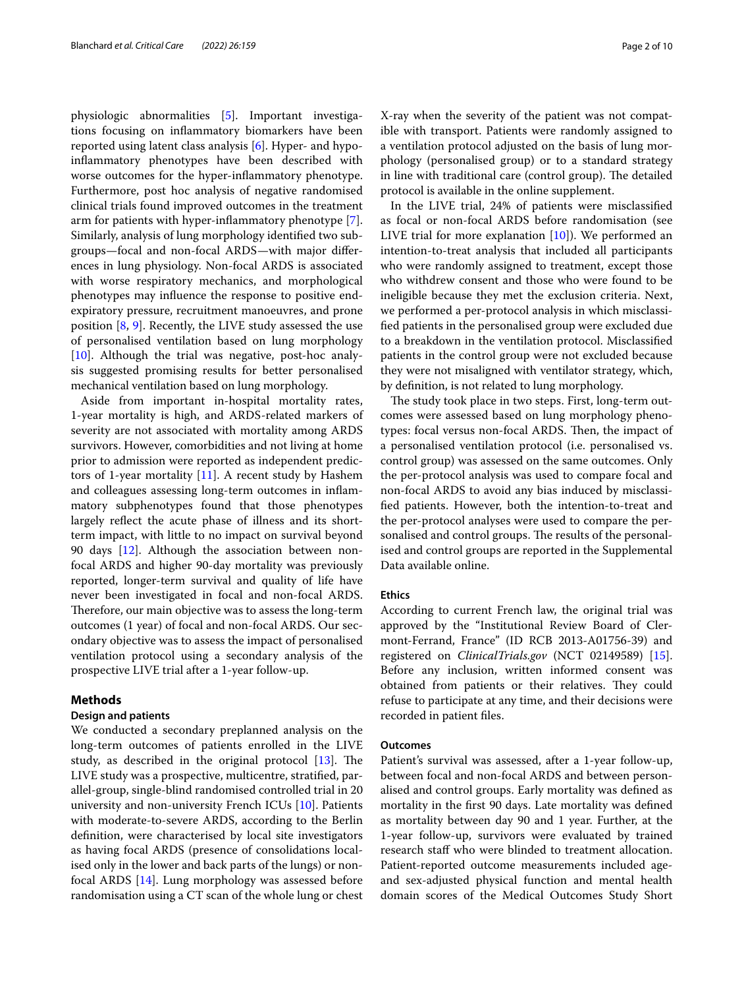physiologic abnormalities [\[5](#page-9-4)]. Important investigations focusing on infammatory biomarkers have been reported using latent class analysis [\[6](#page-9-5)]. Hyper- and hypoinfammatory phenotypes have been described with worse outcomes for the hyper-infammatory phenotype. Furthermore, post hoc analysis of negative randomised clinical trials found improved outcomes in the treatment arm for patients with hyper-infammatory phenotype [\[7](#page-9-6)]. Similarly, analysis of lung morphology identifed two subgroups—focal and non-focal ARDS—with major diferences in lung physiology. Non-focal ARDS is associated with worse respiratory mechanics, and morphological phenotypes may infuence the response to positive endexpiratory pressure, recruitment manoeuvres, and prone position [\[8](#page-9-7), [9](#page-9-8)]. Recently, the LIVE study assessed the use of personalised ventilation based on lung morphology [[10\]](#page-9-9). Although the trial was negative, post-hoc analysis suggested promising results for better personalised mechanical ventilation based on lung morphology.

Aside from important in-hospital mortality rates, 1-year mortality is high, and ARDS-related markers of severity are not associated with mortality among ARDS survivors. However, comorbidities and not living at home prior to admission were reported as independent predictors of 1-year mortality [[11\]](#page-9-10). A recent study by Hashem and colleagues assessing long-term outcomes in infammatory subphenotypes found that those phenotypes largely refect the acute phase of illness and its shortterm impact, with little to no impact on survival beyond 90 days [\[12\]](#page-9-11). Although the association between nonfocal ARDS and higher 90-day mortality was previously reported, longer-term survival and quality of life have never been investigated in focal and non-focal ARDS. Therefore, our main objective was to assess the long-term outcomes (1 year) of focal and non-focal ARDS. Our secondary objective was to assess the impact of personalised ventilation protocol using a secondary analysis of the prospective LIVE trial after a 1-year follow-up.

#### **Methods**

#### **Design and patients**

We conducted a secondary preplanned analysis on the long-term outcomes of patients enrolled in the LIVE study, as described in the original protocol  $[13]$  $[13]$ . The LIVE study was a prospective, multicentre, stratifed, parallel-group, single-blind randomised controlled trial in 20 university and non-university French ICUs [[10](#page-9-9)]. Patients with moderate-to-severe ARDS, according to the Berlin defnition, were characterised by local site investigators as having focal ARDS (presence of consolidations localised only in the lower and back parts of the lungs) or nonfocal ARDS [[14\]](#page-9-13). Lung morphology was assessed before randomisation using a CT scan of the whole lung or chest X-ray when the severity of the patient was not compatible with transport. Patients were randomly assigned to a ventilation protocol adjusted on the basis of lung morphology (personalised group) or to a standard strategy in line with traditional care (control group). The detailed protocol is available in the online supplement.

In the LIVE trial, 24% of patients were misclassifed as focal or non-focal ARDS before randomisation (see LIVE trial for more explanation [\[10](#page-9-9)]). We performed an intention-to-treat analysis that included all participants who were randomly assigned to treatment, except those who withdrew consent and those who were found to be ineligible because they met the exclusion criteria. Next, we performed a per-protocol analysis in which misclassifed patients in the personalised group were excluded due to a breakdown in the ventilation protocol. Misclassifed patients in the control group were not excluded because they were not misaligned with ventilator strategy, which, by defnition, is not related to lung morphology.

The study took place in two steps. First, long-term outcomes were assessed based on lung morphology phenotypes: focal versus non-focal ARDS. Then, the impact of a personalised ventilation protocol (i.e. personalised vs. control group) was assessed on the same outcomes. Only the per-protocol analysis was used to compare focal and non-focal ARDS to avoid any bias induced by misclassifed patients. However, both the intention-to-treat and the per-protocol analyses were used to compare the personalised and control groups. The results of the personalised and control groups are reported in the Supplemental Data available online.

#### **Ethics**

According to current French law, the original trial was approved by the "Institutional Review Board of Clermont-Ferrand, France" (ID RCB 2013-A01756-39) and registered on *ClinicalTrials.gov* (NCT 02149589) [\[15](#page-9-14)]. Before any inclusion, written informed consent was obtained from patients or their relatives. They could refuse to participate at any time, and their decisions were recorded in patient fles.

#### **Outcomes**

Patient's survival was assessed, after a 1-year follow-up, between focal and non-focal ARDS and between personalised and control groups. Early mortality was defned as mortality in the frst 90 days. Late mortality was defned as mortality between day 90 and 1 year. Further, at the 1-year follow-up, survivors were evaluated by trained research staff who were blinded to treatment allocation. Patient-reported outcome measurements included ageand sex-adjusted physical function and mental health domain scores of the Medical Outcomes Study Short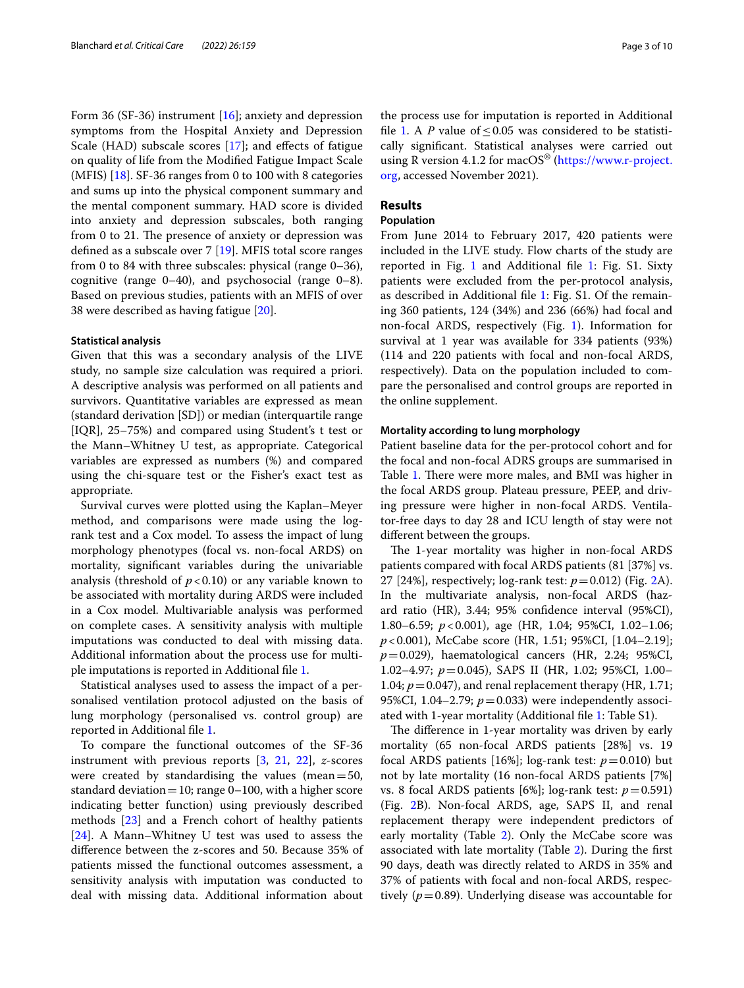Form 36 (SF-36) instrument [\[16](#page-9-15)]; anxiety and depression symptoms from the Hospital Anxiety and Depression Scale (HAD) subscale scores [\[17](#page-9-16)]; and effects of fatigue on quality of life from the Modifed Fatigue Impact Scale (MFIS) [\[18](#page-9-17)]. SF-36 ranges from 0 to 100 with 8 categories and sums up into the physical component summary and the mental component summary. HAD score is divided into anxiety and depression subscales, both ranging from 0 to 21. The presence of anxiety or depression was defined as a subscale over 7 [\[19](#page-9-18)]. MFIS total score ranges from 0 to 84 with three subscales: physical (range 0–36), cognitive (range 0–40), and psychosocial (range 0–8). Based on previous studies, patients with an MFIS of over 38 were described as having fatigue [\[20](#page-9-19)].

#### **Statistical analysis**

Given that this was a secondary analysis of the LIVE study, no sample size calculation was required a priori. A descriptive analysis was performed on all patients and survivors. Quantitative variables are expressed as mean (standard derivation [SD]) or median (interquartile range [IQR], 25–75%) and compared using Student's t test or the Mann–Whitney U test, as appropriate. Categorical variables are expressed as numbers (%) and compared using the chi-square test or the Fisher's exact test as appropriate.

Survival curves were plotted using the Kaplan–Meyer method, and comparisons were made using the logrank test and a Cox model. To assess the impact of lung morphology phenotypes (focal vs. non-focal ARDS) on mortality, signifcant variables during the univariable analysis (threshold of  $p < 0.10$ ) or any variable known to be associated with mortality during ARDS were included in a Cox model. Multivariable analysis was performed on complete cases. A sensitivity analysis with multiple imputations was conducted to deal with missing data. Additional information about the process use for multiple imputations is reported in Additional fle [1.](#page-8-0)

Statistical analyses used to assess the impact of a personalised ventilation protocol adjusted on the basis of lung morphology (personalised vs. control group) are reported in Additional fle [1.](#page-8-0)

To compare the functional outcomes of the SF-36 instrument with previous reports [\[3](#page-9-2), [21](#page-9-20), [22](#page-9-21)], *z*-scores were created by standardising the values (mean=50, standard deviation = 10; range  $0-100$ , with a higher score indicating better function) using previously described methods [\[23\]](#page-9-22) and a French cohort of healthy patients [[24\]](#page-9-23). A Mann–Whitney U test was used to assess the diference between the z-scores and 50. Because 35% of patients missed the functional outcomes assessment, a sensitivity analysis with imputation was conducted to deal with missing data. Additional information about the process use for imputation is reported in Additional file [1.](#page-8-0) A *P* value of  $\leq$  0.05 was considered to be statistically signifcant. Statistical analyses were carried out using R version 4.1.2 for mac $OS^{\otimes}$  ([https://www.r-project.](https://www.r-project.org) [org,](https://www.r-project.org) accessed November 2021).

#### **Results**

#### **Population**

From June 2014 to February 2017, 420 patients were included in the LIVE study. Flow charts of the study are reported in Fig. [1](#page-3-0) and Additional fle [1:](#page-8-0) Fig. S1. Sixty patients were excluded from the per-protocol analysis, as described in Additional fle [1](#page-8-0): Fig. S1. Of the remaining 360 patients, 124 (34%) and 236 (66%) had focal and non-focal ARDS, respectively (Fig. [1](#page-3-0)). Information for survival at 1 year was available for 334 patients (93%) (114 and 220 patients with focal and non-focal ARDS, respectively). Data on the population included to compare the personalised and control groups are reported in the online supplement.

#### **Mortality according to lung morphology**

Patient baseline data for the per-protocol cohort and for the focal and non-focal ADRS groups are summarised in Table [1.](#page-4-0) There were more males, and BMI was higher in the focal ARDS group. Plateau pressure, PEEP, and driving pressure were higher in non-focal ARDS. Ventilator-free days to day 28 and ICU length of stay were not diferent between the groups.

The 1-year mortality was higher in non-focal ARDS patients compared with focal ARDS patients (81 [37%] vs. 27 [24%], respectively; log-rank test: *p*=0.012) (Fig. [2](#page-5-0)A). In the multivariate analysis, non-focal ARDS (hazard ratio (HR), 3.44; 95% confdence interval (95%CI), 1.80–6.59; *p*<0.001), age (HR, 1.04; 95%CI, 1.02–1.06; *p*<0.001), McCabe score (HR, 1.51; 95%CI, [1.04–2.19]; *p*=0.029), haematological cancers (HR, 2.24; 95%CI, 1.02–4.97; *p*=0.045), SAPS II (HR, 1.02; 95%CI, 1.00– 1.04;  $p = 0.047$ ), and renal replacement therapy (HR, 1.71; 95%CI, 1.04–2.79;  $p = 0.033$ ) were independently associated with 1-year mortality (Additional fle [1](#page-8-0): Table S1).

The difference in 1-year mortality was driven by early mortality (65 non-focal ARDS patients [28%] vs. 19 focal ARDS patients [16%]; log-rank test:  $p = 0.010$ ) but not by late mortality (16 non-focal ARDS patients [7%] vs. 8 focal ARDS patients [6%]; log-rank test:  $p=0.591$ ) (Fig. [2B](#page-5-0)). Non-focal ARDS, age, SAPS II, and renal replacement therapy were independent predictors of early mortality (Table [2](#page-6-0)). Only the McCabe score was associated with late mortality (Table [2\)](#page-6-0). During the frst 90 days, death was directly related to ARDS in 35% and 37% of patients with focal and non-focal ARDS, respectively ( $p=0.89$ ). Underlying disease was accountable for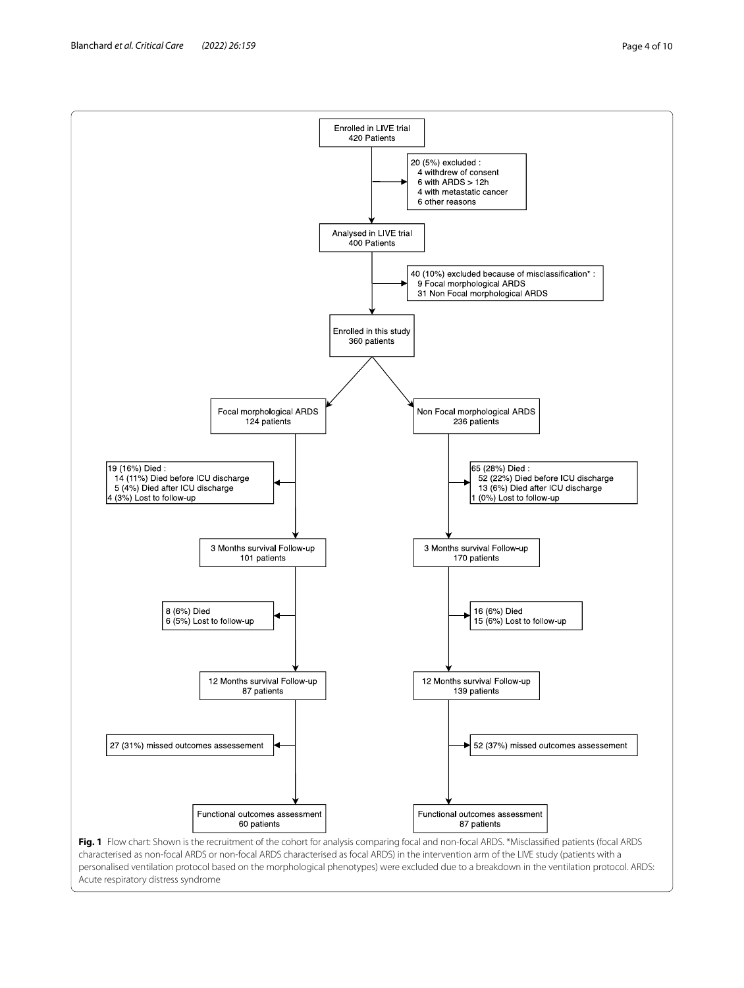<span id="page-3-0"></span>personalised ventilation protocol based on the morphological phenotypes) were excluded due to a breakdown in the ventilation protocol. ARDS: Acute respiratory distress syndrome

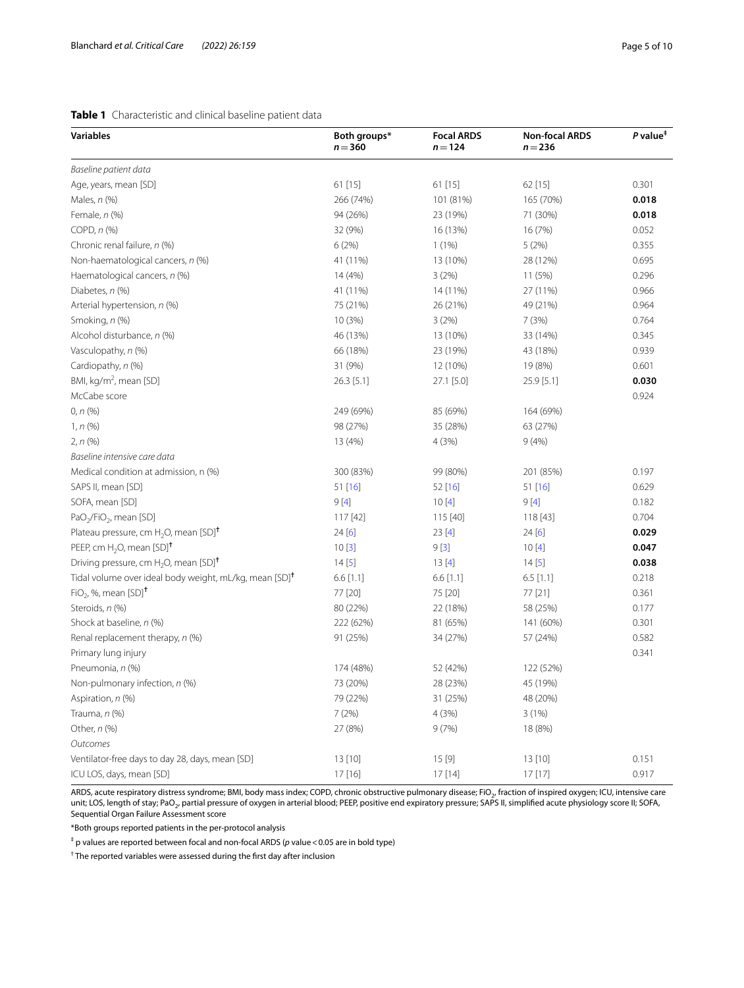#### <span id="page-4-0"></span>**Table 1** Characteristic and clinical baseline patient data

| <b>Variables</b>                                                   | Both groups*<br>$n = 360$ | <b>Focal ARDS</b><br>$n = 124$ | <b>Non-focal ARDS</b><br>$n = 236$ | $P$ value <sup><math>#</math></sup> |
|--------------------------------------------------------------------|---------------------------|--------------------------------|------------------------------------|-------------------------------------|
| Baseline patient data                                              |                           |                                |                                    |                                     |
| Age, years, mean [SD]                                              | 61 [15]                   | 61 [15]                        | 62 [15]                            | 0.301                               |
| Males, $n$ (%)                                                     | 266 (74%)                 | 101 (81%)                      | 165 (70%)                          | 0.018                               |
| Female, $n$ $(\%)$                                                 | 94 (26%)                  | 23 (19%)                       | 71 (30%)                           | 0.018                               |
| COPD, $n$ $%$                                                      | 32 (9%)                   | 16 (13%)                       | 16 (7%)                            | 0.052                               |
| Chronic renal failure, n (%)                                       | 6(2%)                     | 1(1%)                          | 5 (2%)                             | 0.355                               |
| Non-haematological cancers, n (%)                                  | 41 (11%)                  | 13 (10%)                       | 28 (12%)                           | 0.695                               |
| Haematological cancers, n (%)                                      | 14 (4%)                   | 3(2%)                          | 11 (5%)                            | 0.296                               |
| Diabetes, n (%)                                                    | 41 (11%)                  | 14 (11%)                       | 27 (11%)                           | 0.966                               |
| Arterial hypertension, n (%)                                       | 75 (21%)                  | 26 (21%)                       | 49 (21%)                           | 0.964                               |
| Smoking, n (%)                                                     | 10 (3%)                   | 3(2%)                          | 7(3%)                              | 0.764                               |
| Alcohol disturbance, n (%)                                         | 46 (13%)                  | 13 (10%)                       | 33 (14%)                           | 0.345                               |
| Vasculopathy, n (%)                                                | 66 (18%)                  | 23 (19%)                       | 43 (18%)                           | 0.939                               |
| Cardiopathy, n (%)                                                 | 31 (9%)                   | 12 (10%)                       | 19 (8%)                            | 0.601                               |
| BMI, kg/m <sup>2</sup> , mean [SD]                                 | 26.3 [5.1]                | 27.1 [5.0]                     | 25.9 [5.1]                         | 0.030                               |
| McCabe score                                                       |                           |                                |                                    | 0.924                               |
| 0, n (%)                                                           | 249 (69%)                 | 85 (69%)                       | 164 (69%)                          |                                     |
| 1, n (%)                                                           | 98 (27%)                  | 35 (28%)                       | 63 (27%)                           |                                     |
| $2, n$ (%)                                                         | 13 (4%)                   | 4 (3%)                         | 9(4% )                             |                                     |
| Baseline intensive care data                                       |                           |                                |                                    |                                     |
| Medical condition at admission, n (%)                              | 300 (83%)                 | 99 (80%)                       | 201 (85%)                          | 0.197                               |
| SAPS II, mean [SD]                                                 | 51 [16]                   | 52[16]                         | 51 [16]                            | 0.629                               |
| SOFA, mean [SD]                                                    | 9[4]                      | 10[4]                          | 9[4]                               | 0.182                               |
| PaO <sub>2</sub> /FiO <sub>2</sub> , mean [SD]                     | 117 [42]                  | 115 [40]                       | 118 [43]                           | 0.704                               |
| Plateau pressure, cm $H_2O$ , mean [SD] <sup>+</sup>               | 24[6]                     | 23[4]                          | 24[6]                              | 0.029                               |
| PEEP, cm $H_2O$ , mean [SD] <sup>†</sup>                           | 10[3]                     | 9[3]                           | 10[4]                              | 0.047                               |
| Driving pressure, cm H <sub>2</sub> O, mean [SD] <sup>+</sup>      | 14[5]                     | 13[4]                          | 14[5]                              | 0.038                               |
| Tidal volume over ideal body weight, mL/kg, mean [SD] <sup>†</sup> | $6.6$ [1.1]               | $6.6$ [1.1]                    | $6.5$ [1.1]                        | 0.218                               |
| $FiO2$ , %, mean $[SD]$ <sup>†</sup>                               | 77 [20]                   | 75 [20]                        | 77 [21]                            | 0.361                               |
| Steroids, n (%)                                                    | 80 (22%)                  | 22 (18%)                       | 58 (25%)                           | 0.177                               |
| Shock at baseline, n (%)                                           | 222 (62%)                 | 81 (65%)                       | 141 (60%)                          | 0.301                               |
| Renal replacement therapy, n (%)                                   | 91 (25%)                  | 34 (27%)                       | 57 (24%)                           | 0.582                               |
| Primary lung injury                                                |                           |                                |                                    | 0.341                               |
| Pneumonia, n (%)                                                   | 174 (48%)                 | 52 (42%)                       | 122 (52%)                          |                                     |
| Non-pulmonary infection, n (%)                                     | 73 (20%)                  | 28 (23%)                       | 45 (19%)                           |                                     |
| Aspiration, n (%)                                                  | 79 (22%)                  | 31 (25%)                       | 48 (20%)                           |                                     |
| Trauma, n (%)                                                      | 7 (2%)                    | 4 (3%)                         | 3 (1%)                             |                                     |
| Other, n (%)                                                       | 27 (8%)                   | 9(7%)                          | 18 (8%)                            |                                     |
| Outcomes                                                           |                           |                                |                                    |                                     |
| Ventilator-free days to day 28, days, mean [SD]                    | 13 [10]                   | 15 [9]                         | 13 [10]                            | 0.151                               |
| ICU LOS, days, mean [SD]                                           | 17 [16]                   | 17 [14]                        | 17 [17]                            | 0.917                               |

ARDS, acute respiratory distress syndrome; BMI, body mass index; COPD, chronic obstructive pulmonary disease; FiO<sub>2</sub>, fraction of inspired oxygen; ICU, intensive care unit; LOS, length of stay; PaO<sub>2</sub>, partial pressure of oxygen in arterial blood; PEEP, positive end expiratory pressure; SAPS II, simplified acute physiology score II; SOFA, Sequential Organ Failure Assessment score

\*Both groups reported patients in the per-protocol analysis

‡ p values are reported between focal and non-focal ARDS (*p* value<0.05 are in bold type)

† The reported variables were assessed during the frst day after inclusion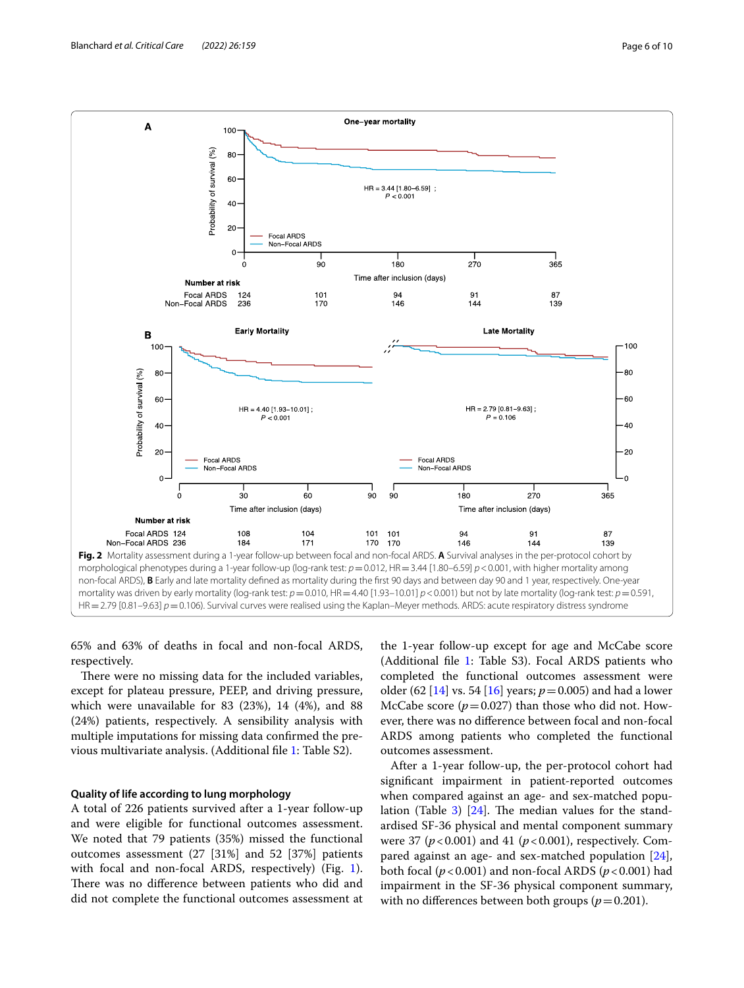

<span id="page-5-0"></span>65% and 63% of deaths in focal and non-focal ARDS, respectively.

There were no missing data for the included variables, except for plateau pressure, PEEP, and driving pressure, which were unavailable for 83 (23%), 14 (4%), and 88 (24%) patients, respectively. A sensibility analysis with multiple imputations for missing data confrmed the previous multivariate analysis. (Additional fle [1:](#page-8-0) Table S2).

#### **Quality of life according to lung morphology**

A total of 226 patients survived after a 1-year follow-up and were eligible for functional outcomes assessment. We noted that 79 patients (35%) missed the functional outcomes assessment (27 [31%] and 52 [37%] patients with focal and non-focal ARDS, respectively) (Fig. [1](#page-3-0)). There was no difference between patients who did and did not complete the functional outcomes assessment at the 1-year follow-up except for age and McCabe score (Additional fle [1:](#page-8-0) Table S3). Focal ARDS patients who completed the functional outcomes assessment were older (62 [[14\]](#page-9-13) vs. 54 [\[16](#page-9-15)] years;  $p = 0.005$ ) and had a lower McCabe score  $(p=0.027)$  than those who did not. However, there was no diference between focal and non-focal ARDS among patients who completed the functional outcomes assessment.

After a 1-year follow-up, the per-protocol cohort had signifcant impairment in patient-reported outcomes when compared against an age- and sex-matched popu-lation (Table [3\)](#page-7-0)  $[24]$ . The median values for the standardised SF-36 physical and mental component summary were 37 (*p*<0.001) and 41 (*p*<0.001), respectively. Compared against an age- and sex-matched population [\[24](#page-9-23)], both focal (*p*<0.001) and non-focal ARDS (*p*<0.001) had impairment in the SF-36 physical component summary, with no differences between both groups ( $p=0.201$ ).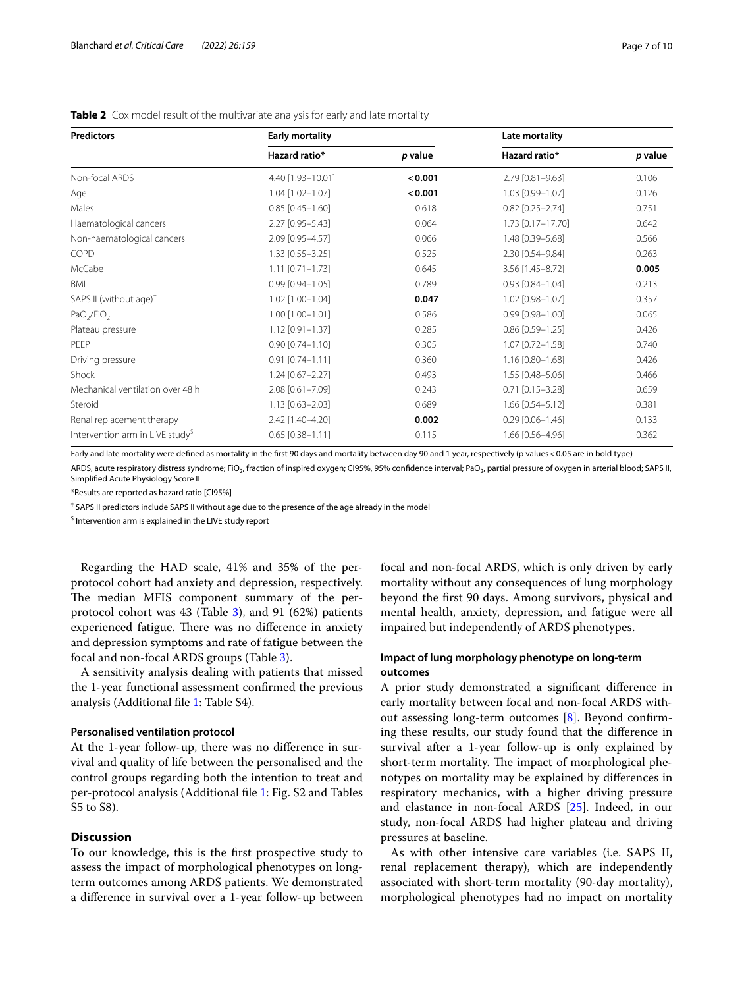| <b>Predictors</b>                            | <b>Early mortality</b> |         | Late mortality         |         |  |
|----------------------------------------------|------------------------|---------|------------------------|---------|--|
|                                              | Hazard ratio*          | p value | Hazard ratio*          | p value |  |
| Non-focal ARDS                               | 4.40 [1.93-10.01]      | < 0.001 | 2.79 [0.81-9.63]       | 0.106   |  |
| Age                                          | $1.04$ [1.02-1.07]     | < 0.001 | 1.03 [0.99-1.07]       | 0.126   |  |
| Males                                        | $0.85$ [0.45-1.60]     | 0.618   | $0.82$ [0.25-2.74]     | 0.751   |  |
| Haematological cancers                       | 2.27 [0.95-5.43]       | 0.064   | 1.73 [0.17-17.70]      | 0.642   |  |
| Non-haematological cancers                   | 2.09 [0.95-4.57]       | 0.066   | 1.48 [0.39-5.68]       | 0.566   |  |
| COPD                                         | 1.33 [0.55-3.25]       | 0.525   | 2.30 [0.54-9.84]       | 0.263   |  |
| McCabe                                       | $1.11$ $[0.71 - 1.73]$ | 0.645   | 3.56 [1.45-8.72]       | 0.005   |  |
| <b>BMI</b>                                   | $0.99$ $[0.94 - 1.05]$ | 0.789   | $0.93$ $[0.84 - 1.04]$ | 0.213   |  |
| SAPS II (without age) <sup>†</sup>           | 1.02 [1.00-1.04]       | 0.047   | 1.02 [0.98-1.07]       | 0.357   |  |
| PaO <sub>2</sub> /FiO <sub>2</sub>           | 1.00 [1.00-1.01]       | 0.586   | $0.99$ $[0.98 - 1.00]$ | 0.065   |  |
| Plateau pressure                             | $1.12$ [0.91-1.37]     | 0.285   | $0.86$ [0.59-1.25]     | 0.426   |  |
| PFFP                                         | $0.90$ $[0.74 - 1.10]$ | 0.305   | 1.07 [0.72-1.58]       | 0.740   |  |
| Driving pressure                             | $0.91$ [0.74-1.11]     | 0.360   | 1.16 [0.80-1.68]       | 0.426   |  |
| Shock                                        | $1.24$ [0.67-2.27]     | 0.493   | 1.55 [0.48-5.06]       | 0.466   |  |
| Mechanical ventilation over 48 h             | 2.08 [0.61-7.09]       | 0.243   | $0.71$ $[0.15 - 3.28]$ | 0.659   |  |
| Steroid                                      | $1.13$ [0.63-2.03]     | 0.689   | 1.66 [0.54-5.12]       | 0.381   |  |
| Renal replacement therapy                    | 2.42 [1.40-4.20]       | 0.002   | $0.29$ [0.06-1.46]     | 0.133   |  |
| Intervention arm in LIVE study <sup>\$</sup> | $0.65$ [0.38-1.11]     | 0.115   | 1.66 [0.56-4.96]       | 0.362   |  |

<span id="page-6-0"></span>**Table 2** Cox model result of the multivariate analysis for early and late mortality

Early and late mortality were defned as mortality in the frst 90 days and mortality between day 90 and 1 year, respectively (p values<0.05 are in bold type) ARDS, acute respiratory distress syndrome; FiO<sub>2</sub>, fraction of inspired oxygen; CI95%, 95% confidence interval; PaO<sub>2</sub>, partial pressure of oxygen in arterial blood; SAPS II, Simplifed Acute Physiology Score II

\*Results are reported as hazard ratio [CI95%]

<sup>†</sup> SAPS II predictors include SAPS II without age due to the presence of the age already in the model

<sup>\$</sup> Intervention arm is explained in the LIVE study report

Regarding the HAD scale, 41% and 35% of the perprotocol cohort had anxiety and depression, respectively. The median MFIS component summary of the perprotocol cohort was 43 (Table [3](#page-7-0)), and 91 (62%) patients experienced fatigue. There was no difference in anxiety and depression symptoms and rate of fatigue between the focal and non-focal ARDS groups (Table [3\)](#page-7-0).

A sensitivity analysis dealing with patients that missed the 1-year functional assessment confrmed the previous analysis (Additional fle [1](#page-8-0): Table S4).

#### **Personalised ventilation protocol**

At the 1-year follow-up, there was no diference in survival and quality of life between the personalised and the control groups regarding both the intention to treat and per-protocol analysis (Additional fle [1](#page-8-0): Fig. S2 and Tables S5 to S8).

#### **Discussion**

To our knowledge, this is the frst prospective study to assess the impact of morphological phenotypes on longterm outcomes among ARDS patients. We demonstrated a diference in survival over a 1-year follow-up between focal and non-focal ARDS, which is only driven by early mortality without any consequences of lung morphology beyond the frst 90 days. Among survivors, physical and mental health, anxiety, depression, and fatigue were all impaired but independently of ARDS phenotypes.

#### **Impact of lung morphology phenotype on long-term outcomes**

A prior study demonstrated a signifcant diference in early mortality between focal and non-focal ARDS without assessing long-term outcomes [\[8\]](#page-9-7). Beyond confrming these results, our study found that the diference in survival after a 1-year follow-up is only explained by short-term mortality. The impact of morphological phenotypes on mortality may be explained by diferences in respiratory mechanics, with a higher driving pressure and elastance in non-focal ARDS [\[25](#page-9-24)]. Indeed, in our study, non-focal ARDS had higher plateau and driving pressures at baseline.

As with other intensive care variables (i.e. SAPS II, renal replacement therapy), which are independently associated with short-term mortality (90-day mortality), morphological phenotypes had no impact on mortality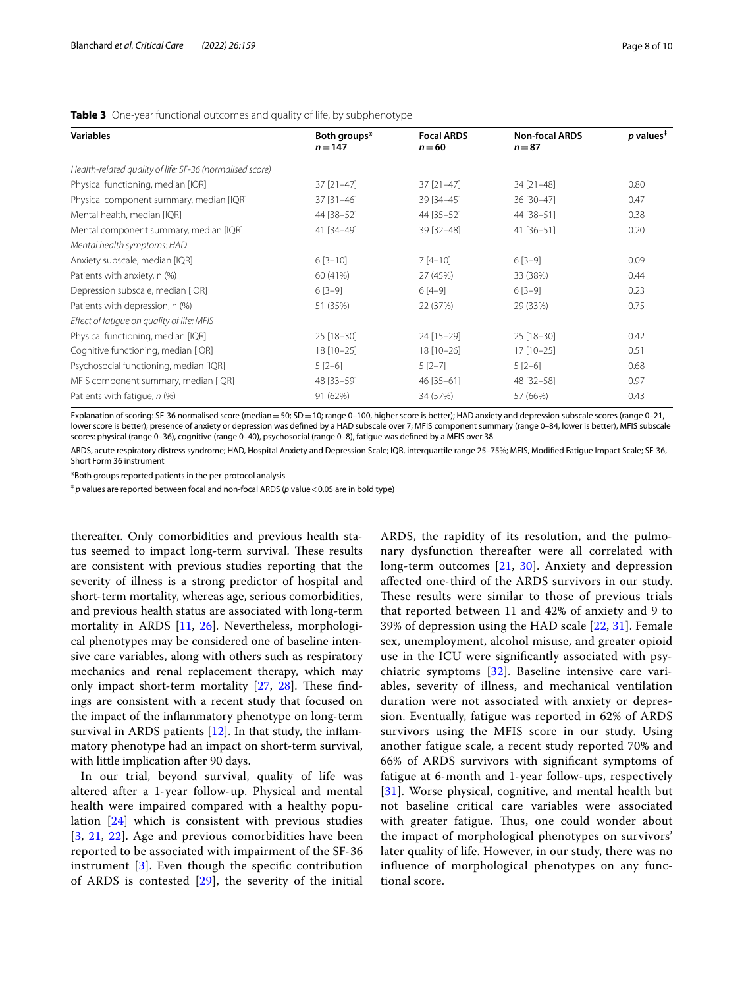| <b>Variables</b>                                         | Both groups*<br>$n = 147$ | <b>Focal ARDS</b><br>$n = 60$ | <b>Non-focal ARDS</b><br>$n = 87$ | $p$ values <sup><math>\ddagger</math></sup> |
|----------------------------------------------------------|---------------------------|-------------------------------|-----------------------------------|---------------------------------------------|
|                                                          |                           |                               |                                   |                                             |
| Health-related quality of life: SF-36 (normalised score) |                           |                               |                                   |                                             |
| Physical functioning, median [IQR]                       | $37$ [ $21-47$ ]          | 37 [21-47]                    | 34 [21-48]                        | 0.80                                        |
| Physical component summary, median [IQR]                 | $37$ [ $31-46$ ]          | 39 [34-45]                    | 36 [30-47]                        | 0.47                                        |
| Mental health, median [IQR]                              | 44 [38-52]                | 44 [35-52]                    | 44 [38-51]                        | 0.38                                        |
| Mental component summary, median [IQR]                   | 41 [34-49]                | 39 [32-48]                    | 41 [36-51]                        | 0.20                                        |
| Mental health symptoms: HAD                              |                           |                               |                                   |                                             |
| Anxiety subscale, median [IQR]                           | $6[3-10]$                 | $7[4-10]$                     | $6[3-9]$                          | 0.09                                        |
| Patients with anxiety, n (%)                             | 60 (41%)                  | 27 (45%)                      | 33 (38%)                          | 0.44                                        |
| Depression subscale, median [IQR]                        | $6[3-9]$                  | $6[4-9]$                      | $6[3-9]$                          | 0.23                                        |
| Patients with depression, n (%)                          | 51 (35%)                  | 22 (37%)                      | 29 (33%)                          | 0.75                                        |
| Effect of fatique on quality of life: MFIS               |                           |                               |                                   |                                             |
| Physical functioning, median [IQR]                       | $25$ [18-30]              | 24 [15-29]                    | $25$ [18-30]                      | 0.42                                        |
| Cognitive functioning, median [IQR]                      | 18 [10-25]                | 18 [10-26]                    | $17$ [10-25]                      | 0.51                                        |
| Psychosocial functioning, median [IQR]                   | $5[2-6]$                  | $5[2-7]$                      | $5[2-6]$                          | 0.68                                        |
| MFIS component summary, median [IQR]                     | 48 [33-59]                | 46 [35-61]                    | 48 [32-58]                        | 0.97                                        |
| Patients with fatigue, n (%)                             | 91 (62%)                  | 34 (57%)                      | 57 (66%)                          | 0.43                                        |

#### <span id="page-7-0"></span>**Table 3** One-year functional outcomes and quality of life, by subphenotype

Explanation of scoring: SF-36 normalised score (median = 50; SD = 10; range 0-100, higher score is better); HAD anxiety and depression subscale scores (range 0-21, lower score is better); presence of anxiety or depression was defined by a HAD subscale over 7; MFIS component summary (range 0-84, lower is better), MFIS subscale scores: physical (range 0–36), cognitive (range 0–40), psychosocial (range 0–8), fatigue was defned by a MFIS over 38

ARDS, acute respiratory distress syndrome; HAD, Hospital Anxiety and Depression Scale; IQR, interquartile range 25–75%; MFIS, Modifed Fatigue Impact Scale; SF-36, Short Form 36 instrument

\*Both groups reported patients in the per-protocol analysis

‡ *p* values are reported between focal and non-focal ARDS (*p* value<0.05 are in bold type)

thereafter. Only comorbidities and previous health status seemed to impact long-term survival. These results are consistent with previous studies reporting that the severity of illness is a strong predictor of hospital and short-term mortality, whereas age, serious comorbidities, and previous health status are associated with long-term mortality in ARDS [[11,](#page-9-10) [26\]](#page-9-25). Nevertheless, morphological phenotypes may be considered one of baseline intensive care variables, along with others such as respiratory mechanics and renal replacement therapy, which may only impact short-term mortality  $[27, 28]$  $[27, 28]$  $[27, 28]$ . These findings are consistent with a recent study that focused on the impact of the infammatory phenotype on long-term survival in ARDS patients [\[12](#page-9-11)]. In that study, the infammatory phenotype had an impact on short-term survival, with little implication after 90 days.

In our trial, beyond survival, quality of life was altered after a 1-year follow-up. Physical and mental health were impaired compared with a healthy population [[24](#page-9-23)] which is consistent with previous studies [[3](#page-9-2), [21](#page-9-20), [22](#page-9-21)]. Age and previous comorbidities have been reported to be associated with impairment of the SF-36 instrument  $[3]$  $[3]$  $[3]$ . Even though the specific contribution of ARDS is contested  $[29]$  $[29]$ , the severity of the initial ARDS, the rapidity of its resolution, and the pulmonary dysfunction thereafter were all correlated with long-term outcomes [[21,](#page-9-20) [30](#page-9-29)]. Anxiety and depression afected one-third of the ARDS survivors in our study. These results were similar to those of previous trials that reported between 11 and 42% of anxiety and 9 to 39% of depression using the HAD scale [[22,](#page-9-21) [31\]](#page-9-30). Female sex, unemployment, alcohol misuse, and greater opioid use in the ICU were signifcantly associated with psychiatric symptoms [\[32](#page-9-31)]. Baseline intensive care variables, severity of illness, and mechanical ventilation duration were not associated with anxiety or depression. Eventually, fatigue was reported in 62% of ARDS survivors using the MFIS score in our study. Using another fatigue scale, a recent study reported 70% and 66% of ARDS survivors with signifcant symptoms of fatigue at 6-month and 1-year follow-ups, respectively [[31](#page-9-30)]. Worse physical, cognitive, and mental health but not baseline critical care variables were associated with greater fatigue. Thus, one could wonder about the impact of morphological phenotypes on survivors' later quality of life. However, in our study, there was no infuence of morphological phenotypes on any functional score.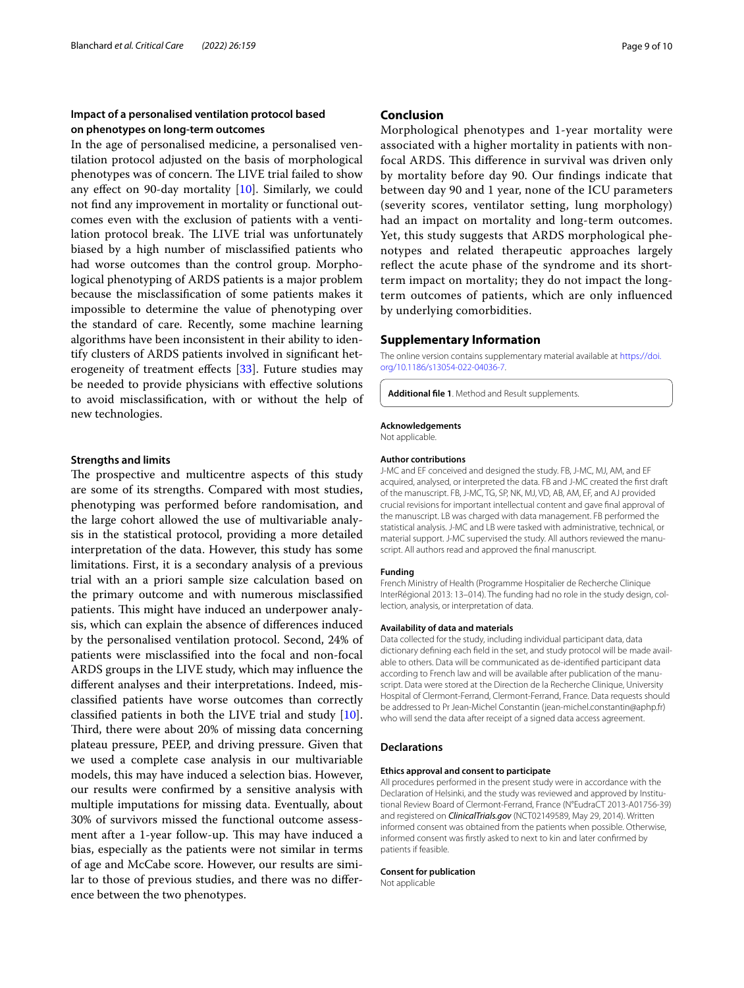#### **Impact of a personalised ventilation protocol based on phenotypes on long-term outcomes**

In the age of personalised medicine, a personalised ventilation protocol adjusted on the basis of morphological phenotypes was of concern. The LIVE trial failed to show any efect on 90-day mortality [[10\]](#page-9-9). Similarly, we could not fnd any improvement in mortality or functional outcomes even with the exclusion of patients with a ventilation protocol break. The LIVE trial was unfortunately biased by a high number of misclassifed patients who had worse outcomes than the control group. Morphological phenotyping of ARDS patients is a major problem because the misclassifcation of some patients makes it impossible to determine the value of phenotyping over the standard of care. Recently, some machine learning algorithms have been inconsistent in their ability to identify clusters of ARDS patients involved in signifcant het-erogeneity of treatment effects [[33\]](#page-9-32). Future studies may be needed to provide physicians with efective solutions to avoid misclassifcation, with or without the help of new technologies.

#### **Strengths and limits**

The prospective and multicentre aspects of this study are some of its strengths. Compared with most studies, phenotyping was performed before randomisation, and the large cohort allowed the use of multivariable analysis in the statistical protocol, providing a more detailed interpretation of the data. However, this study has some limitations. First, it is a secondary analysis of a previous trial with an a priori sample size calculation based on the primary outcome and with numerous misclassifed patients. This might have induced an underpower analysis, which can explain the absence of diferences induced by the personalised ventilation protocol. Second, 24% of patients were misclassifed into the focal and non-focal ARDS groups in the LIVE study, which may infuence the diferent analyses and their interpretations. Indeed, misclassifed patients have worse outcomes than correctly classifed patients in both the LIVE trial and study [\[10](#page-9-9)]. Third, there were about 20% of missing data concerning plateau pressure, PEEP, and driving pressure. Given that we used a complete case analysis in our multivariable models, this may have induced a selection bias. However, our results were confrmed by a sensitive analysis with multiple imputations for missing data. Eventually, about 30% of survivors missed the functional outcome assessment after a 1-year follow-up. This may have induced a bias, especially as the patients were not similar in terms of age and McCabe score. However, our results are similar to those of previous studies, and there was no diference between the two phenotypes.

#### **Conclusion**

Morphological phenotypes and 1-year mortality were associated with a higher mortality in patients with nonfocal ARDS. This difference in survival was driven only by mortality before day 90. Our fndings indicate that between day 90 and 1 year, none of the ICU parameters (severity scores, ventilator setting, lung morphology) had an impact on mortality and long-term outcomes. Yet, this study suggests that ARDS morphological phenotypes and related therapeutic approaches largely refect the acute phase of the syndrome and its shortterm impact on mortality; they do not impact the longterm outcomes of patients, which are only infuenced by underlying comorbidities.

#### **Supplementary Information**

The online version contains supplementary material available at [https://doi.](https://doi.org/10.1186/s13054-022-04036-7) [org/10.1186/s13054-022-04036-7](https://doi.org/10.1186/s13054-022-04036-7).

<span id="page-8-0"></span>**Additional fle 1**. Method and Result supplements.

#### **Acknowledgements**

Not applicable.

#### **Author contributions**

J-MC and EF conceived and designed the study. FB, J-MC, MJ, AM, and EF acquired, analysed, or interpreted the data. FB and J-MC created the frst draft of the manuscript. FB, J-MC, TG, SP, NK, MJ, VD, AB, AM, EF, and AJ provided crucial revisions for important intellectual content and gave fnal approval of the manuscript. LB was charged with data management. FB performed the statistical analysis. J-MC and LB were tasked with administrative, technical, or material support. J-MC supervised the study. All authors reviewed the manuscript. All authors read and approved the fnal manuscript.

#### **Funding**

French Ministry of Health (Programme Hospitalier de Recherche Clinique InterRégional 2013: 13–014). The funding had no role in the study design, col‑ lection, analysis, or interpretation of data.

#### **Availability of data and materials**

Data collected for the study, including individual participant data, data dictionary defining each field in the set, and study protocol will be made available to others. Data will be communicated as de-identifed participant data according to French law and will be available after publication of the manuscript. Data were stored at the Direction de la Recherche Clinique, University Hospital of Clermont-Ferrand, Clermont-Ferrand, France. Data requests should be addressed to Pr Jean-Michel Constantin (jean-michel.constantin@aphp.fr) who will send the data after receipt of a signed data access agreement.

#### **Declarations**

#### **Ethics approval and consent to participate**

All procedures performed in the present study were in accordance with the Declaration of Helsinki, and the study was reviewed and approved by Institutional Review Board of Clermont-Ferrand, France (N°EudraCT 2013-A01756-39) and registered on *ClinicalTrials.gov* (NCT02149589, May 29, 2014). Written informed consent was obtained from the patients when possible. Otherwise, informed consent was frstly asked to next to kin and later confrmed by patients if feasible.

#### **Consent for publication**

Not applicable